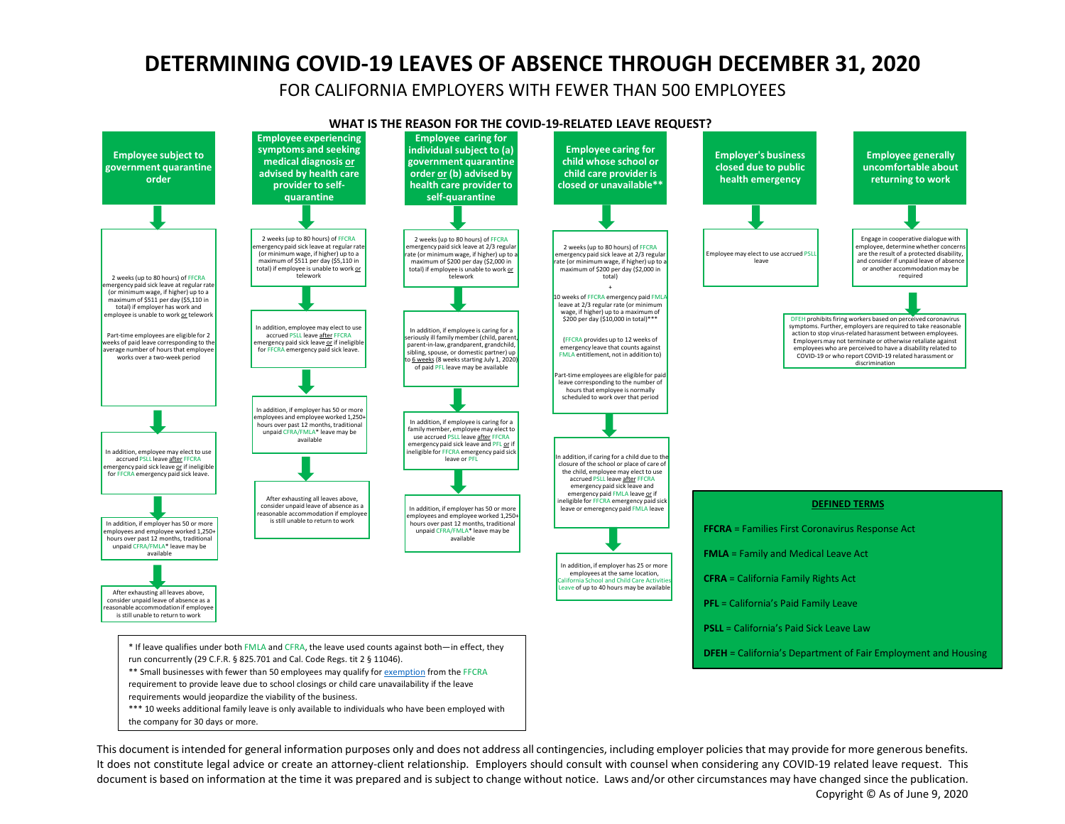## **DETERMINING COVID-19 LEAVES OF ABSENCE THROUGH DECEMBER 31, 2020**

FOR CALIFORNIA EMPLOYERS WITH FEWER THAN 500 EMPLOYEES



This document is intended for general information purposes only and does not address all contingencies, including employer policies that may provide for more generous benefits. It does not constitute legal advice or create an attorney-client relationship. Employers should consult with counsel when considering any COVID-19 related leave request. This document is based on information at the time it was prepared and is subject to change without notice. Laws and/or other circumstances may have changed since the publication.

Copyright © As of June 9, 2020